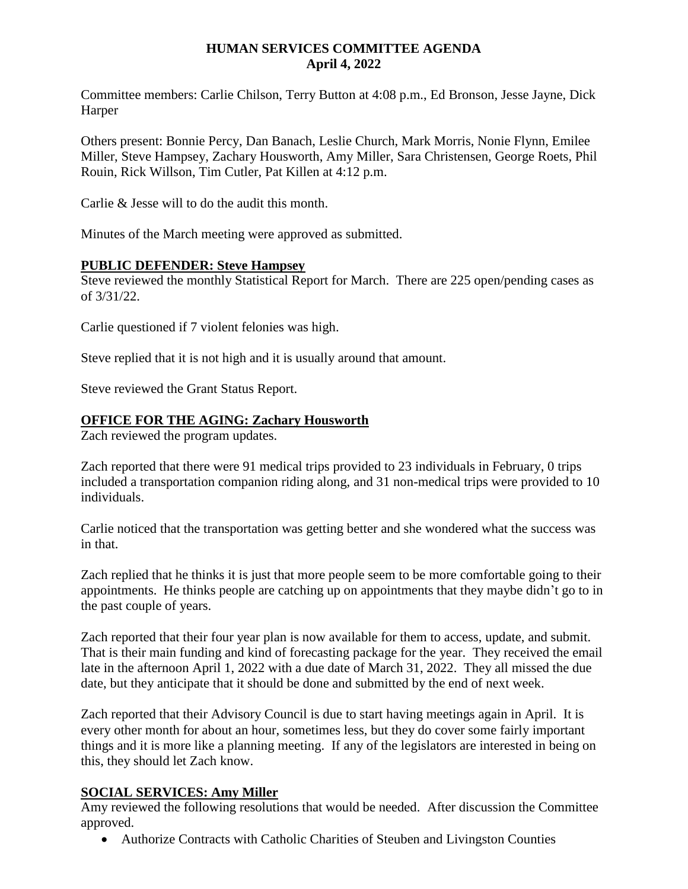#### **HUMAN SERVICES COMMITTEE AGENDA April 4, 2022**

Committee members: Carlie Chilson, Terry Button at 4:08 p.m., Ed Bronson, Jesse Jayne, Dick Harper

Others present: Bonnie Percy, Dan Banach, Leslie Church, Mark Morris, Nonie Flynn, Emilee Miller, Steve Hampsey, Zachary Housworth, Amy Miller, Sara Christensen, George Roets, Phil Rouin, Rick Willson, Tim Cutler, Pat Killen at 4:12 p.m.

Carlie & Jesse will to do the audit this month.

Minutes of the March meeting were approved as submitted.

#### **PUBLIC DEFENDER: Steve Hampsey**

Steve reviewed the monthly Statistical Report for March. There are 225 open/pending cases as of 3/31/22.

Carlie questioned if 7 violent felonies was high.

Steve replied that it is not high and it is usually around that amount.

Steve reviewed the Grant Status Report.

#### **OFFICE FOR THE AGING: Zachary Housworth**

Zach reviewed the program updates.

Zach reported that there were 91 medical trips provided to 23 individuals in February, 0 trips included a transportation companion riding along, and 31 non-medical trips were provided to 10 individuals.

Carlie noticed that the transportation was getting better and she wondered what the success was in that.

Zach replied that he thinks it is just that more people seem to be more comfortable going to their appointments. He thinks people are catching up on appointments that they maybe didn't go to in the past couple of years.

Zach reported that their four year plan is now available for them to access, update, and submit. That is their main funding and kind of forecasting package for the year. They received the email late in the afternoon April 1, 2022 with a due date of March 31, 2022. They all missed the due date, but they anticipate that it should be done and submitted by the end of next week.

Zach reported that their Advisory Council is due to start having meetings again in April. It is every other month for about an hour, sometimes less, but they do cover some fairly important things and it is more like a planning meeting. If any of the legislators are interested in being on this, they should let Zach know.

# **SOCIAL SERVICES: Amy Miller**

Amy reviewed the following resolutions that would be needed. After discussion the Committee approved.

Authorize Contracts with Catholic Charities of Steuben and Livingston Counties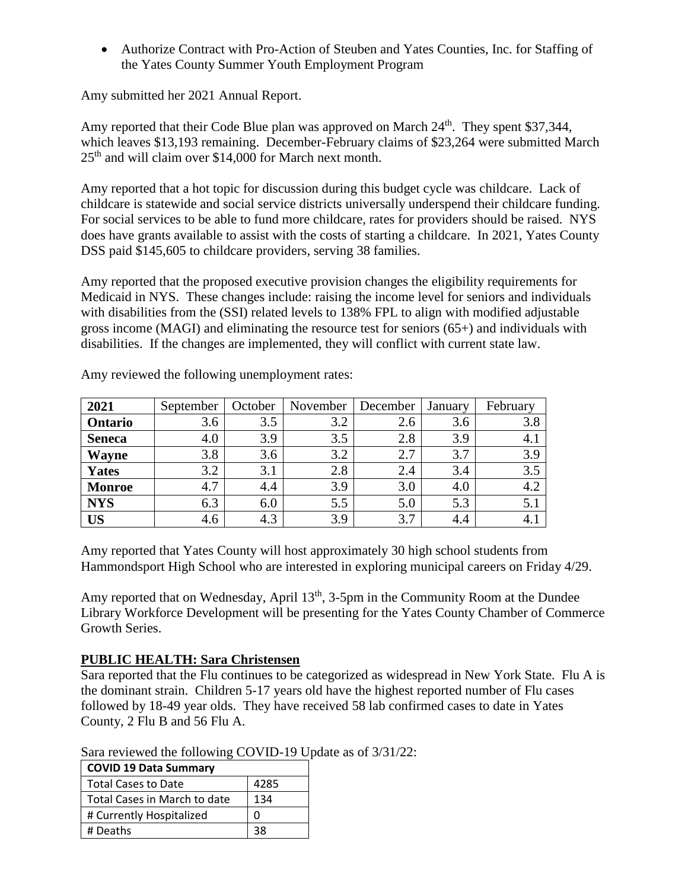Authorize Contract with Pro-Action of Steuben and Yates Counties, Inc. for Staffing of the Yates County Summer Youth Employment Program

Amy submitted her 2021 Annual Report.

Amy reported that their Code Blue plan was approved on March  $24<sup>th</sup>$ . They spent \$37,344, which leaves \$13,193 remaining. December-February claims of \$23,264 were submitted March 25th and will claim over \$14,000 for March next month.

Amy reported that a hot topic for discussion during this budget cycle was childcare. Lack of childcare is statewide and social service districts universally underspend their childcare funding. For social services to be able to fund more childcare, rates for providers should be raised. NYS does have grants available to assist with the costs of starting a childcare. In 2021, Yates County DSS paid \$145,605 to childcare providers, serving 38 families.

Amy reported that the proposed executive provision changes the eligibility requirements for Medicaid in NYS. These changes include: raising the income level for seniors and individuals with disabilities from the (SSI) related levels to 138% FPL to align with modified adjustable gross income (MAGI) and eliminating the resource test for seniors (65+) and individuals with disabilities. If the changes are implemented, they will conflict with current state law.

| 2021          | September | October | November | December | January | February |
|---------------|-----------|---------|----------|----------|---------|----------|
| Ontario       | 3.6       | 3.5     | 3.2      | 2.6      | 3.6     | 3.8      |
| <b>Seneca</b> | 4.0       | 3.9     | 3.5      | 2.8      | 3.9     | 4.1      |
| <b>Wayne</b>  | 3.8       | 3.6     | 3.2      | 2.7      | 3.7     | 3.9      |
| Yates         | 3.2       | 3.1     | 2.8      | 2.4      | 3.4     | 3.5      |
| <b>Monroe</b> | 4.7       | 4.4     | 3.9      | 3.0      | 4.0     | 4.2      |
| <b>NYS</b>    | 6.3       | 6.0     | 5.5      | 5.0      | 5.3     | 5.1      |
| <b>US</b>     | 4.6       | 4.3     | 3.9      | 3.7      | 4.4     | 4.1      |

Amy reviewed the following unemployment rates:

Amy reported that Yates County will host approximately 30 high school students from Hammondsport High School who are interested in exploring municipal careers on Friday 4/29.

Amy reported that on Wednesday, April  $13<sup>th</sup>$ , 3-5pm in the Community Room at the Dundee Library Workforce Development will be presenting for the Yates County Chamber of Commerce Growth Series.

# **PUBLIC HEALTH: Sara Christensen**

Sara reported that the Flu continues to be categorized as widespread in New York State. Flu A is the dominant strain. Children 5-17 years old have the highest reported number of Flu cases followed by 18-49 year olds. They have received 58 lab confirmed cases to date in Yates County, 2 Flu B and 56 Flu A.

|  |  | Sara reviewed the following COVID-19 Update as of 3/31/22: |
|--|--|------------------------------------------------------------|
|--|--|------------------------------------------------------------|

| <b>COVID 19 Data Summary</b> |      |  |  |  |  |
|------------------------------|------|--|--|--|--|
| <b>Total Cases to Date</b>   | 4285 |  |  |  |  |
| Total Cases in March to date | 134  |  |  |  |  |
| # Currently Hospitalized     | ŋ    |  |  |  |  |
| # Deaths                     | 38   |  |  |  |  |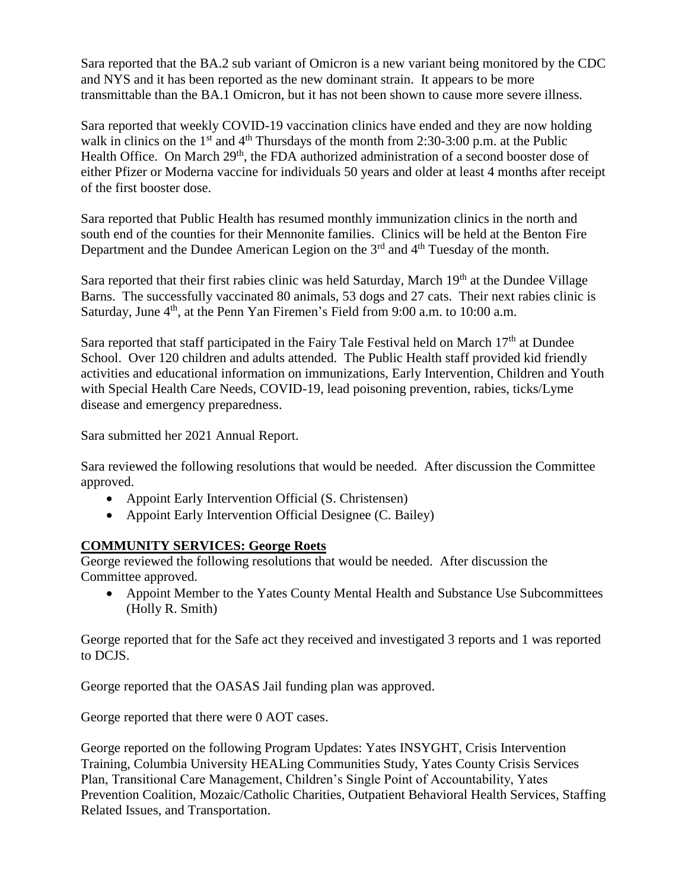Sara reported that the BA.2 sub variant of Omicron is a new variant being monitored by the CDC and NYS and it has been reported as the new dominant strain. It appears to be more transmittable than the BA.1 Omicron, but it has not been shown to cause more severe illness.

Sara reported that weekly COVID-19 vaccination clinics have ended and they are now holding walk in clinics on the  $1<sup>st</sup>$  and  $4<sup>th</sup>$  Thursdays of the month from 2:30-3:00 p.m. at the Public Health Office. On March 29<sup>th</sup>, the FDA authorized administration of a second booster dose of either Pfizer or Moderna vaccine for individuals 50 years and older at least 4 months after receipt of the first booster dose.

Sara reported that Public Health has resumed monthly immunization clinics in the north and south end of the counties for their Mennonite families. Clinics will be held at the Benton Fire Department and the Dundee American Legion on the 3<sup>rd</sup> and 4<sup>th</sup> Tuesday of the month.

Sara reported that their first rabies clinic was held Saturday, March  $19<sup>th</sup>$  at the Dundee Village Barns. The successfully vaccinated 80 animals, 53 dogs and 27 cats. Their next rabies clinic is Saturday, June  $4<sup>th</sup>$ , at the Penn Yan Firemen's Field from 9:00 a.m. to 10:00 a.m.

Sara reported that staff participated in the Fairy Tale Festival held on March  $17<sup>th</sup>$  at Dundee School. Over 120 children and adults attended. The Public Health staff provided kid friendly activities and educational information on immunizations, Early Intervention, Children and Youth with Special Health Care Needs, COVID-19, lead poisoning prevention, rabies, ticks/Lyme disease and emergency preparedness.

Sara submitted her 2021 Annual Report.

Sara reviewed the following resolutions that would be needed. After discussion the Committee approved.

- Appoint Early Intervention Official (S. Christensen)
- Appoint Early Intervention Official Designee (C. Bailey)

# **COMMUNITY SERVICES: George Roets**

George reviewed the following resolutions that would be needed. After discussion the Committee approved.

 Appoint Member to the Yates County Mental Health and Substance Use Subcommittees (Holly R. Smith)

George reported that for the Safe act they received and investigated 3 reports and 1 was reported to DCJS.

George reported that the OASAS Jail funding plan was approved.

George reported that there were 0 AOT cases.

George reported on the following Program Updates: Yates INSYGHT, Crisis Intervention Training, Columbia University HEALing Communities Study, Yates County Crisis Services Plan, Transitional Care Management, Children's Single Point of Accountability, Yates Prevention Coalition, Mozaic/Catholic Charities, Outpatient Behavioral Health Services, Staffing Related Issues, and Transportation.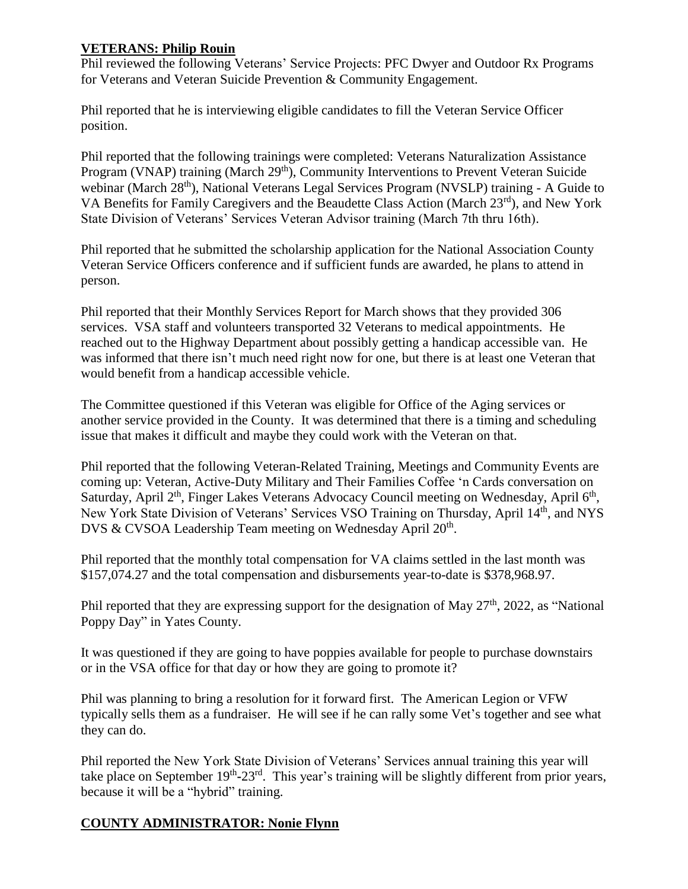# **VETERANS: Philip Rouin**

Phil reviewed the following Veterans' Service Projects: PFC Dwyer and Outdoor Rx Programs for Veterans and Veteran Suicide Prevention & Community Engagement.

Phil reported that he is interviewing eligible candidates to fill the Veteran Service Officer position.

Phil reported that the following trainings were completed: Veterans Naturalization Assistance Program (VNAP) training (March 29<sup>th</sup>), Community Interventions to Prevent Veteran Suicide webinar (March 28<sup>th</sup>), National Veterans Legal Services Program (NVSLP) training - A Guide to VA Benefits for Family Caregivers and the Beaudette Class Action (March 23<sup>rd</sup>), and New York State Division of Veterans' Services Veteran Advisor training (March 7th thru 16th).

Phil reported that he submitted the scholarship application for the National Association County Veteran Service Officers conference and if sufficient funds are awarded, he plans to attend in person.

Phil reported that their Monthly Services Report for March shows that they provided 306 services. VSA staff and volunteers transported 32 Veterans to medical appointments. He reached out to the Highway Department about possibly getting a handicap accessible van. He was informed that there isn't much need right now for one, but there is at least one Veteran that would benefit from a handicap accessible vehicle.

The Committee questioned if this Veteran was eligible for Office of the Aging services or another service provided in the County. It was determined that there is a timing and scheduling issue that makes it difficult and maybe they could work with the Veteran on that.

Phil reported that the following Veteran-Related Training, Meetings and Community Events are coming up: Veteran, Active-Duty Military and Their Families Coffee 'n Cards conversation on Saturday, April 2<sup>th</sup>, Finger Lakes Veterans Advocacy Council meeting on Wednesday, April 6<sup>th</sup>, New York State Division of Veterans' Services VSO Training on Thursday, April 14th, and NYS DVS & CVSOA Leadership Team meeting on Wednesday April 20<sup>th</sup>.

Phil reported that the monthly total compensation for VA claims settled in the last month was \$157,074.27 and the total compensation and disbursements year-to-date is \$378,968.97.

Phil reported that they are expressing support for the designation of May  $27<sup>th</sup>$ , 2022, as "National" Poppy Day" in Yates County.

It was questioned if they are going to have poppies available for people to purchase downstairs or in the VSA office for that day or how they are going to promote it?

Phil was planning to bring a resolution for it forward first. The American Legion or VFW typically sells them as a fundraiser. He will see if he can rally some Vet's together and see what they can do.

Phil reported the New York State Division of Veterans' Services annual training this year will take place on September 19<sup>th</sup>-23<sup>rd</sup>. This year's training will be slightly different from prior years, because it will be a "hybrid" training.

# **COUNTY ADMINISTRATOR: Nonie Flynn**